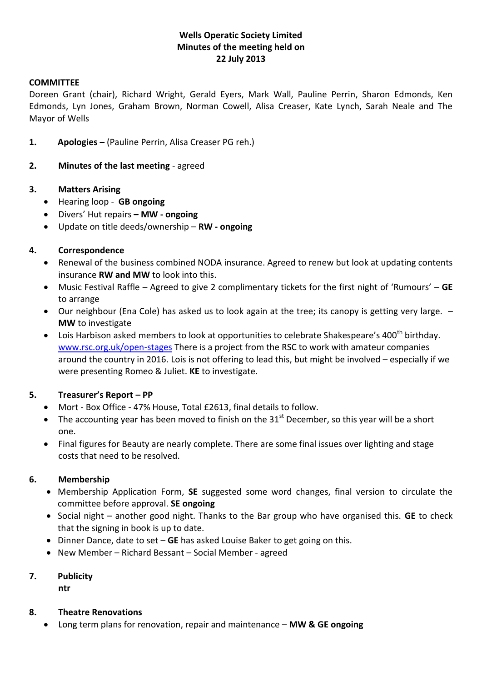# **Wells Operatic Society Limited Minutes of the meeting held on 22 July 2013**

### **COMMITTEE**

Doreen Grant (chair), Richard Wright, Gerald Eyers, Mark Wall, Pauline Perrin, Sharon Edmonds, Ken Edmonds, Lyn Jones, Graham Brown, Norman Cowell, Alisa Creaser, Kate Lynch, Sarah Neale and The Mayor of Wells

- **1. Apologies –** (Pauline Perrin, Alisa Creaser PG reh.)
- **2. Minutes of the last meeting** agreed

### **3. Matters Arising**

- Hearing loop **GB ongoing**
- Divers' Hut repairs **– MW - ongoing**
- Update on title deeds/ownership **RW - ongoing**

# **4. Correspondence**

- Renewal of the business combined NODA insurance. Agreed to renew but look at updating contents insurance **RW and MW** to look into this.
- Music Festival Raffle Agreed to give 2 complimentary tickets for the first night of 'Rumours' **GE** to arrange
- Our neighbour (Ena Cole) has asked us to look again at the tree; its canopy is getting very large. **MW** to investigate
- $\bullet$  Lois Harbison asked members to look at opportunities to celebrate Shakespeare's 400<sup>th</sup> birthday. [www.rsc.org.uk/open-stages](http://www.rsc.org.uk/open-stages) There is a project from the RSC to work with amateur companies around the country in 2016. Lois is not offering to lead this, but might be involved – especially if we were presenting Romeo & Juliet. **KE** to investigate.

# **5. Treasurer's Report – PP**

- Mort Box Office 47% House, Total £2613, final details to follow.
- The accounting year has been moved to finish on the 31 $^{\text{st}}$  December, so this year will be a short one.
- Final figures for Beauty are nearly complete. There are some final issues over lighting and stage costs that need to be resolved.

# **6. Membership**

- Membership Application Form, **SE** suggested some word changes, final version to circulate the committee before approval. **SE ongoing**
- Social night another good night. Thanks to the Bar group who have organised this. **GE** to check that the signing in book is up to date.
- **Dinner Dance, date to set GE has asked Louise Baker to get going on this.**
- New Member Richard Bessant Social Member agreed

#### **7. Publicity**

**ntr**

#### **8. Theatre Renovations**

Long term plans for renovation, repair and maintenance – **MW & GE ongoing**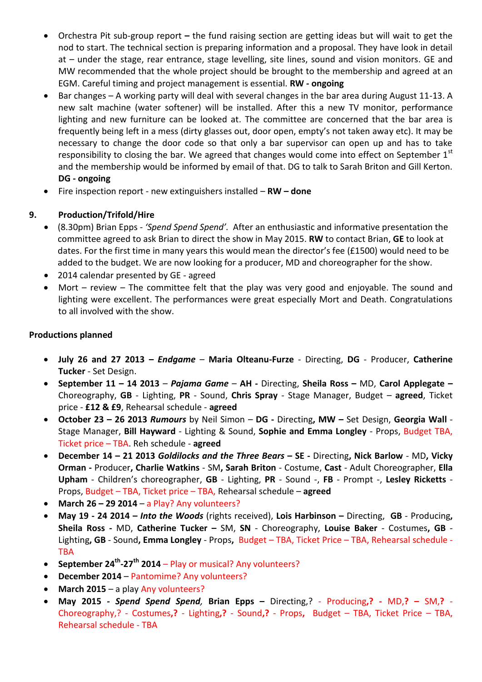- Orchestra Pit sub-group report **–** the fund raising section are getting ideas but will wait to get the nod to start. The technical section is preparing information and a proposal. They have look in detail at – under the stage, rear entrance, stage levelling, site lines, sound and vision monitors. GE and MW recommended that the whole project should be brought to the membership and agreed at an EGM. Careful timing and project management is essential. **RW - ongoing**
- Bar changes A working party will deal with several changes in the bar area during August 11-13. A new salt machine (water softener) will be installed. After this a new TV monitor, performance lighting and new furniture can be looked at. The committee are concerned that the bar area is frequently being left in a mess (dirty glasses out, door open, empty's not taken away etc). It may be necessary to change the door code so that only a bar supervisor can open up and has to take responsibility to closing the bar. We agreed that changes would come into effect on September  $1<sup>st</sup>$ and the membership would be informed by email of that. DG to talk to Sarah Briton and Gill Kerton. **DG - ongoing**
- Fire inspection report new extinguishers installed **RW – done**

# **9. Production/Trifold/Hire**

- (8.30pm) Brian Epps *'Spend Spend Spend'.* After an enthusiastic and informative presentation the committee agreed to ask Brian to direct the show in May 2015. **RW** to contact Brian, **GE** to look at dates. For the first time in many years this would mean the director's fee (£1500) would need to be added to the budget. We are now looking for a producer, MD and choreographer for the show.
- 2014 calendar presented by GE agreed
- Mort review The committee felt that the play was very good and enjoyable. The sound and lighting were excellent. The performances were great especially Mort and Death. Congratulations to all involved with the show.

# **Productions planned**

- **July 26 and 27 2013 –** *Endgame* **Maria Olteanu-Furze** Directing, **DG** Producer, **Catherine Tucker** - Set Design.
- **September 11 – 14 2013**  *Pajama Game* **AH -** Directing, **Sheila Ross –** MD, **Carol Applegate –** Choreography, **GB** - Lighting, **PR** - Sound, **Chris Spray** - Stage Manager, Budget – **agreed**, Ticket price - **£12 & £9**, Rehearsal schedule - **agreed**
- **October 23 – 26 2013** *Rumours* by Neil Simon **DG -** Directing**, MW –** Set Design, **Georgia Wall** Stage Manager, **Bill Hayward** - Lighting & Sound, **Sophie and Emma Longley** - Props, Budget TBA, Ticket price – TBA. Reh schedule - **agreed**
- **December 14 – 21 2013** *Goldilocks and the Three Bears* **– SE -** Directing**, Nick Barlow** MD**, Vicky Orman -** Producer**, Charlie Watkins** - SM**, Sarah Briton** - Costume, **Cast** - Adult Choreographer, **Ella Upham** - Children's choreographer, **GB** - Lighting, **PR** - Sound -, **FB** - Prompt -, **Lesley Ricketts** - Props, Budget – TBA, Ticket price – TBA, Rehearsal schedule – **agreed**
- **March 26 – 29 2014** a Play? Any volunteers?
- **May 19 - 24 2014 –** *Into the Woods* (rights received), **Lois Harbinson –** Directing, **GB** Producing**, Sheila Ross -** MD, **Catherine Tucker –** SM, **SN** - Choreography, **Louise Baker** - Costumes**, GB** - Lighting**, GB** - Sound**, Emma Longley** - Props**,** Budget – TBA, Ticket Price – TBA, Rehearsal schedule - TBA
- **September 24th -27th 2014** Play or musical? Any volunteers?
- **December 2014** Pantomime? Any volunteers?
- **March 2015** a play Any volunteers?
- **May 2015** *- Spend Spend Spend,* **Brian Epps –** Directing,? Producing**,? -** MD,**? –** SM,**?**  Choreography,? - Costumes**,?** - Lighting**,?** - Sound**,?** - Props**,** Budget – TBA, Ticket Price – TBA, Rehearsal schedule - TBA